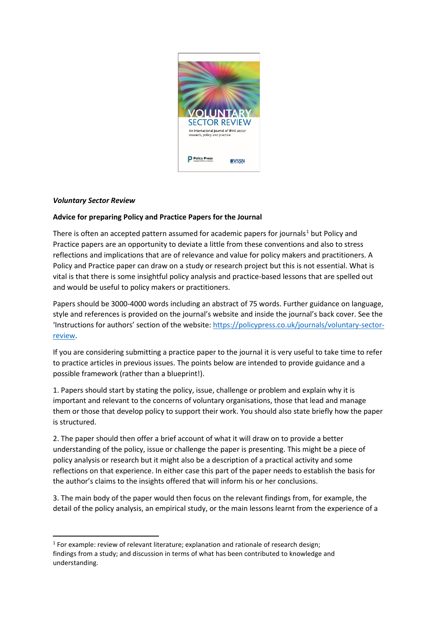

## *Voluntary Sector Review*

## **Advice for preparing Policy and Practice Papers for the Journal**

There is often an accepted pattern assumed for academic papers for journals<sup>[1](#page-0-0)</sup> but Policy and Practice papers are an opportunity to deviate a little from these conventions and also to stress reflections and implications that are of relevance and value for policy makers and practitioners. A Policy and Practice paper can draw on a study or research project but this is not essential. What is vital is that there is some insightful policy analysis and practice-based lessons that are spelled out and would be useful to policy makers or practitioners.

Papers should be 3000-4000 words including an abstract of 75 words. Further guidance on language, style and references is provided on the journal's website and inside the journal's back cover. See the 'Instructions for authors' section of the website[: https://policypress.co.uk/journals/voluntary-sector](https://policypress.co.uk/journals/voluntary-sector-review)[review.](https://policypress.co.uk/journals/voluntary-sector-review)

If you are considering submitting a practice paper to the journal it is very useful to take time to refer to practice articles in previous issues. The points below are intended to provide guidance and a possible framework (rather than a blueprint!).

1. Papers should start by stating the policy, issue, challenge or problem and explain why it is important and relevant to the concerns of voluntary organisations, those that lead and manage them or those that develop policy to support their work. You should also state briefly how the paper is structured.

2. The paper should then offer a brief account of what it will draw on to provide a better understanding of the policy, issue or challenge the paper is presenting. This might be a piece of policy analysis or research but it might also be a description of a practical activity and some reflections on that experience. In either case this part of the paper needs to establish the basis for the author's claims to the insights offered that will inform his or her conclusions.

3. The main body of the paper would then focus on the relevant findings from, for example, the detail of the policy analysis, an empirical study, or the main lessons learnt from the experience of a

<span id="page-0-0"></span> $1$  For example: review of relevant literature; explanation and rationale of research design; findings from a study; and discussion in terms of what has been contributed to knowledge and understanding.